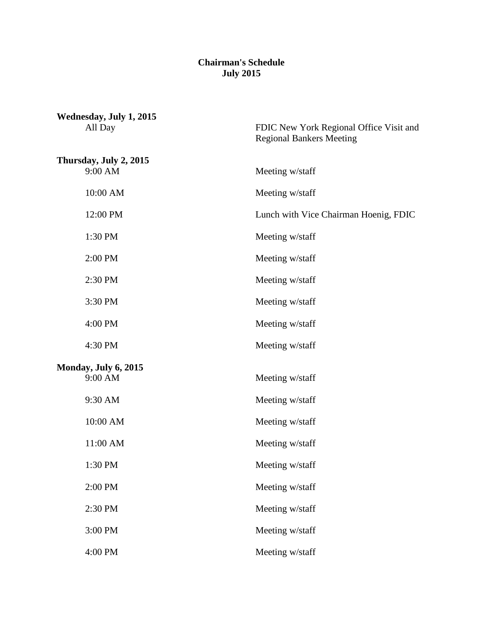## **Chairman's Schedule July 2015**

| Wednesday, July 1, 2015<br>All Day | FDIC New York Regional Office Visit and<br><b>Regional Bankers Meeting</b> |
|------------------------------------|----------------------------------------------------------------------------|
| Thursday, July 2, 2015<br>9:00 AM  | Meeting w/staff                                                            |
| 10:00 AM                           | Meeting w/staff                                                            |
| 12:00 PM                           | Lunch with Vice Chairman Hoenig, FDIC                                      |
| 1:30 PM                            | Meeting w/staff                                                            |
| 2:00 PM                            | Meeting w/staff                                                            |
| 2:30 PM                            | Meeting w/staff                                                            |
| 3:30 PM                            | Meeting w/staff                                                            |
| 4:00 PM                            | Meeting w/staff                                                            |
| 4:30 PM                            | Meeting w/staff                                                            |
| Monday, July 6, 2015<br>9:00 AM    | Meeting w/staff                                                            |
| 9:30 AM                            | Meeting w/staff                                                            |
| 10:00 AM                           | Meeting w/staff                                                            |
| 11:00 AM                           | Meeting w/staff                                                            |
| 1:30 PM                            | Meeting w/staff                                                            |
| 2:00 PM                            | Meeting w/staff                                                            |
| 2:30 PM                            | Meeting w/staff                                                            |
| 3:00 PM                            | Meeting w/staff                                                            |
| 4:00 PM                            | Meeting w/staff                                                            |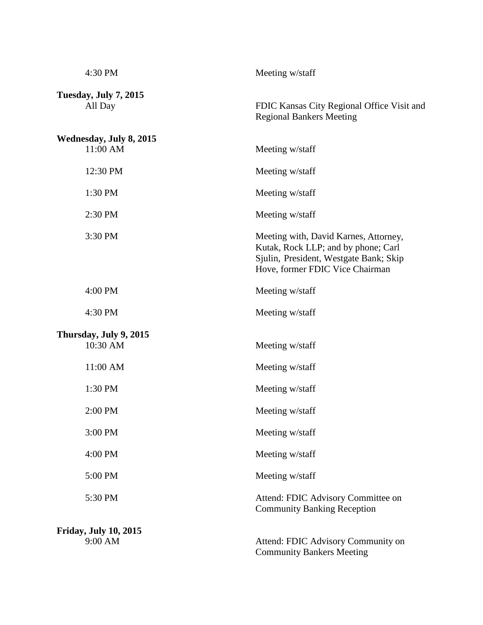| 4:30 PM                                 | Meeting w/staff                                                                                                                                           |
|-----------------------------------------|-----------------------------------------------------------------------------------------------------------------------------------------------------------|
| Tuesday, July 7, 2015<br>All Day        | FDIC Kansas City Regional Office Visit and<br><b>Regional Bankers Meeting</b>                                                                             |
| Wednesday, July 8, 2015<br>11:00 AM     | Meeting w/staff                                                                                                                                           |
| 12:30 PM                                | Meeting w/staff                                                                                                                                           |
| 1:30 PM                                 | Meeting w/staff                                                                                                                                           |
| 2:30 PM                                 | Meeting w/staff                                                                                                                                           |
| 3:30 PM                                 | Meeting with, David Karnes, Attorney,<br>Kutak, Rock LLP; and by phone; Carl<br>Sjulin, President, Westgate Bank; Skip<br>Hove, former FDIC Vice Chairman |
| 4:00 PM                                 | Meeting w/staff                                                                                                                                           |
| 4:30 PM                                 | Meeting w/staff                                                                                                                                           |
| Thursday, July 9, 2015<br>10:30 AM      | Meeting w/staff                                                                                                                                           |
| 11:00 AM                                | Meeting w/staff                                                                                                                                           |
| 1:30 PM                                 | Meeting w/staff                                                                                                                                           |
| 2:00 PM                                 | Meeting w/staff                                                                                                                                           |
| 3:00 PM                                 | Meeting w/staff                                                                                                                                           |
| 4:00 PM                                 | Meeting w/staff                                                                                                                                           |
| 5:00 PM                                 | Meeting w/staff                                                                                                                                           |
| 5:30 PM                                 | Attend: FDIC Advisory Committee on<br><b>Community Banking Reception</b>                                                                                  |
| <b>Friday, July 10, 2015</b><br>9:00 AM | Attend: FDIC Advisory Community on<br><b>Community Bankers Meeting</b>                                                                                    |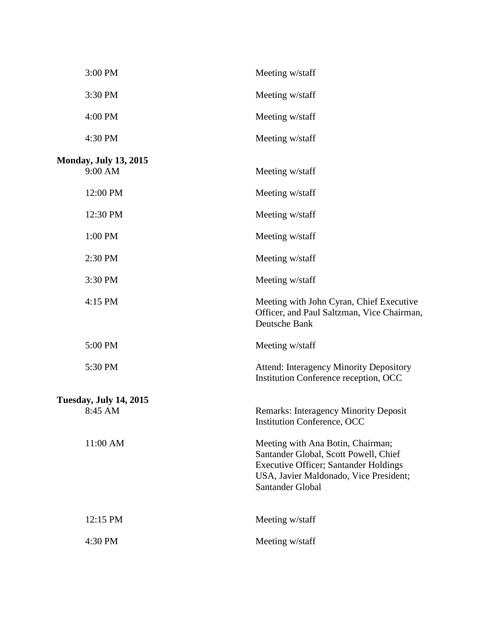| 3:00 PM                                  | Meeting w/staff                                                                                                                                                                          |
|------------------------------------------|------------------------------------------------------------------------------------------------------------------------------------------------------------------------------------------|
| 3:30 PM                                  | Meeting w/staff                                                                                                                                                                          |
| 4:00 PM                                  | Meeting w/staff                                                                                                                                                                          |
| 4:30 PM                                  | Meeting w/staff                                                                                                                                                                          |
| <b>Monday, July 13, 2015</b><br>9:00 AM  | Meeting w/staff                                                                                                                                                                          |
| 12:00 PM                                 | Meeting w/staff                                                                                                                                                                          |
| 12:30 PM                                 | Meeting w/staff                                                                                                                                                                          |
| 1:00 PM                                  | Meeting w/staff                                                                                                                                                                          |
| 2:30 PM                                  | Meeting w/staff                                                                                                                                                                          |
| 3:30 PM                                  | Meeting w/staff                                                                                                                                                                          |
| 4:15 PM                                  | Meeting with John Cyran, Chief Executive<br>Officer, and Paul Saltzman, Vice Chairman,<br>Deutsche Bank                                                                                  |
| 5:00 PM                                  | Meeting w/staff                                                                                                                                                                          |
| 5:30 PM                                  | <b>Attend: Interagency Minority Depository</b><br>Institution Conference reception, OCC                                                                                                  |
| <b>Tuesday, July 14, 2015</b><br>8:45 AM | <b>Remarks: Interagency Minority Deposit</b><br><b>Institution Conference, OCC</b>                                                                                                       |
| 11:00 AM                                 | Meeting with Ana Botin, Chairman;<br>Santander Global, Scott Powell, Chief<br><b>Executive Officer; Santander Holdings</b><br>USA, Javier Maldonado, Vice President;<br>Santander Global |
| 12:15 PM                                 | Meeting w/staff                                                                                                                                                                          |
| 4:30 PM                                  | Meeting w/staff                                                                                                                                                                          |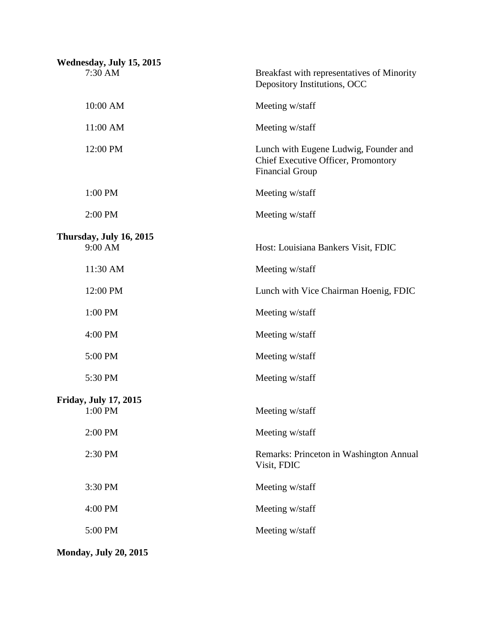| Wednesday, July 15, 2015           |                                                                                                        |
|------------------------------------|--------------------------------------------------------------------------------------------------------|
| 7:30 AM                            | Breakfast with representatives of Minority<br>Depository Institutions, OCC                             |
| 10:00 AM                           | Meeting w/staff                                                                                        |
| 11:00 AM                           | Meeting w/staff                                                                                        |
| 12:00 PM                           | Lunch with Eugene Ludwig, Founder and<br>Chief Executive Officer, Promontory<br><b>Financial Group</b> |
| 1:00 PM                            | Meeting w/staff                                                                                        |
| 2:00 PM                            | Meeting w/staff                                                                                        |
| Thursday, July 16, 2015<br>9:00 AM | Host: Louisiana Bankers Visit, FDIC                                                                    |
| 11:30 AM                           | Meeting w/staff                                                                                        |
| 12:00 PM                           | Lunch with Vice Chairman Hoenig, FDIC                                                                  |
| 1:00 PM                            | Meeting w/staff                                                                                        |
| 4:00 PM                            | Meeting w/staff                                                                                        |
| 5:00 PM                            | Meeting w/staff                                                                                        |
| 5:30 PM                            | Meeting w/staff                                                                                        |
| <b>Friday, July 17, 2015</b>       |                                                                                                        |
| $1:00$ PM                          | Meeting w/staff                                                                                        |
| 2:00 PM                            | Meeting w/staff                                                                                        |
| 2:30 PM                            | Remarks: Princeton in Washington Annual<br>Visit, FDIC                                                 |
| 3:30 PM                            | Meeting w/staff                                                                                        |
| 4:00 PM                            | Meeting w/staff                                                                                        |
| 5:00 PM                            | Meeting w/staff                                                                                        |
| <b>Monday, July 20, 2015</b>       |                                                                                                        |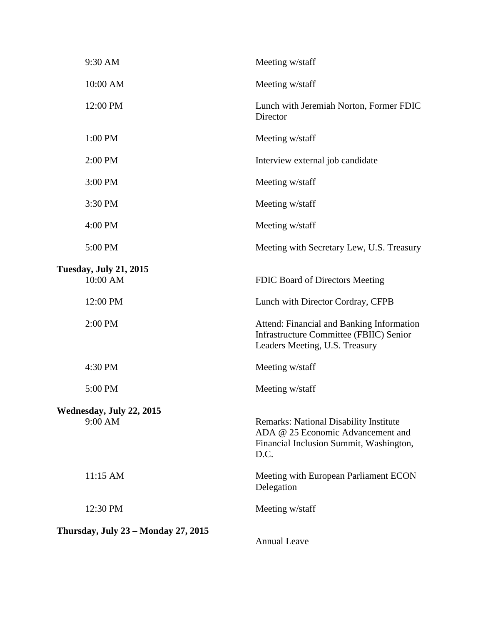| 9:30 AM                                    | Meeting w/staff                                                                                                                       |
|--------------------------------------------|---------------------------------------------------------------------------------------------------------------------------------------|
| 10:00 AM                                   | Meeting w/staff                                                                                                                       |
| 12:00 PM                                   | Lunch with Jeremiah Norton, Former FDIC<br>Director                                                                                   |
| 1:00 PM                                    | Meeting w/staff                                                                                                                       |
| 2:00 PM                                    | Interview external job candidate                                                                                                      |
| 3:00 PM                                    | Meeting w/staff                                                                                                                       |
| 3:30 PM                                    | Meeting w/staff                                                                                                                       |
| 4:00 PM                                    | Meeting w/staff                                                                                                                       |
| 5:00 PM                                    | Meeting with Secretary Lew, U.S. Treasury                                                                                             |
| <b>Tuesday, July 21, 2015</b><br>10:00 AM  | FDIC Board of Directors Meeting                                                                                                       |
| 12:00 PM                                   | Lunch with Director Cordray, CFPB                                                                                                     |
| 2:00 PM                                    | Attend: Financial and Banking Information<br><b>Infrastructure Committee (FBIIC) Senior</b><br>Leaders Meeting, U.S. Treasury         |
| 4:30 PM                                    | Meeting w/staff                                                                                                                       |
| 5:00 PM                                    | Meeting w/staff                                                                                                                       |
| Wednesday, July 22, 2015<br>9:00 AM        | <b>Remarks: National Disability Institute</b><br>ADA @ 25 Economic Advancement and<br>Financial Inclusion Summit, Washington,<br>D.C. |
| 11:15 AM                                   | Meeting with European Parliament ECON<br>Delegation                                                                                   |
| 12:30 PM                                   | Meeting w/staff                                                                                                                       |
| <b>Thursday, July 23 - Monday 27, 2015</b> | <b>Annual Leave</b>                                                                                                                   |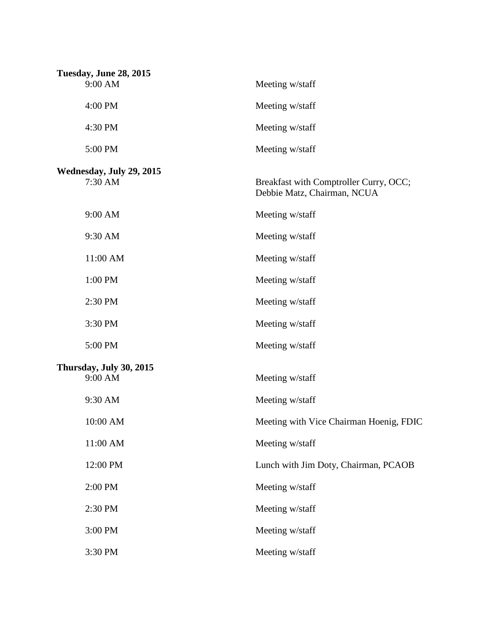| <b>Tuesday, June 28, 2015</b> |                                                                       |
|-------------------------------|-----------------------------------------------------------------------|
| 9:00 AM                       | Meeting w/staff                                                       |
| 4:00 PM                       | Meeting w/staff                                                       |
| 4:30 PM                       | Meeting w/staff                                                       |
| 5:00 PM                       | Meeting w/staff                                                       |
| Wednesday, July 29, 2015      |                                                                       |
| 7:30 AM                       | Breakfast with Comptroller Curry, OCC;<br>Debbie Matz, Chairman, NCUA |
| 9:00 AM                       | Meeting w/staff                                                       |
| 9:30 AM                       | Meeting w/staff                                                       |
| 11:00 AM                      | Meeting w/staff                                                       |
| 1:00 PM                       | Meeting w/staff                                                       |
| 2:30 PM                       | Meeting w/staff                                                       |
| 3:30 PM                       | Meeting w/staff                                                       |
| 5:00 PM                       | Meeting w/staff                                                       |
| Thursday, July 30, 2015       |                                                                       |
| 9:00 AM                       | Meeting w/staff                                                       |
| 9:30 AM                       | Meeting w/staff                                                       |
| 10:00 AM                      | Meeting with Vice Chairman Hoenig, FDIC                               |
| 11:00 AM                      | Meeting w/staff                                                       |
| 12:00 PM                      | Lunch with Jim Doty, Chairman, PCAOB                                  |
| 2:00 PM                       | Meeting w/staff                                                       |
| 2:30 PM                       | Meeting w/staff                                                       |
| 3:00 PM                       | Meeting w/staff                                                       |
| 3:30 PM                       | Meeting w/staff                                                       |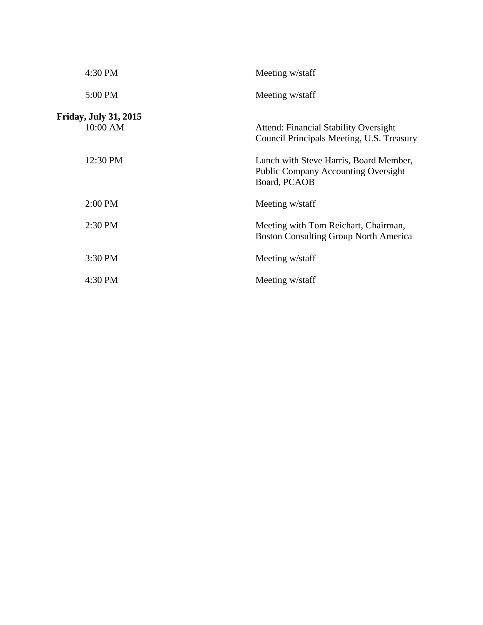| 4:30 PM                           | Meeting w/staff                                                                                      |
|-----------------------------------|------------------------------------------------------------------------------------------------------|
| 5:00 PM                           | Meeting w/staff                                                                                      |
| Friday, July 31, 2015<br>10:00 AM | <b>Attend: Financial Stability Oversight</b><br>Council Principals Meeting, U.S. Treasury            |
| 12:30 PM                          | Lunch with Steve Harris, Board Member,<br><b>Public Company Accounting Oversight</b><br>Board, PCAOB |
| $2:00$ PM                         | Meeting w/staff                                                                                      |
| 2:30 PM                           | Meeting with Tom Reichart, Chairman,<br><b>Boston Consulting Group North America</b>                 |
| 3:30 PM                           | Meeting w/staff                                                                                      |
| 4:30 PM                           | Meeting w/staff                                                                                      |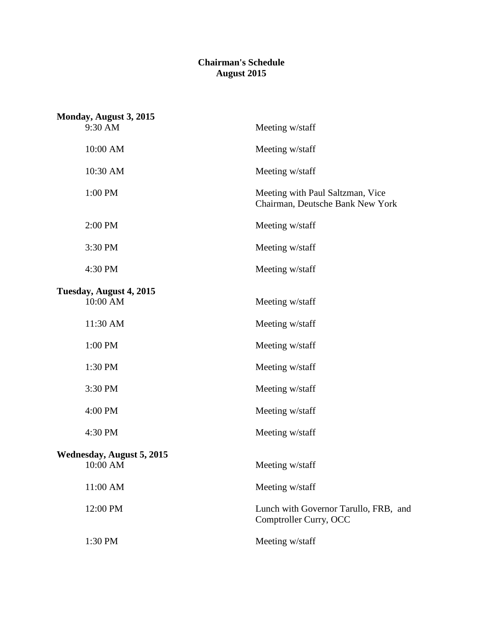## **Chairman's Schedule August 2015**

| Monday, August 3, 2015                       |                                                                      |
|----------------------------------------------|----------------------------------------------------------------------|
| 9:30 AM                                      | Meeting w/staff                                                      |
| 10:00 AM                                     | Meeting w/staff                                                      |
| 10:30 AM                                     | Meeting w/staff                                                      |
| 1:00 PM                                      | Meeting with Paul Saltzman, Vice<br>Chairman, Deutsche Bank New York |
| 2:00 PM                                      | Meeting w/staff                                                      |
| 3:30 PM                                      | Meeting w/staff                                                      |
| 4:30 PM                                      | Meeting w/staff                                                      |
| Tuesday, August 4, 2015<br>10:00 AM          | Meeting w/staff                                                      |
| 11:30 AM                                     | Meeting w/staff                                                      |
| 1:00 PM                                      | Meeting w/staff                                                      |
| 1:30 PM                                      | Meeting w/staff                                                      |
| 3:30 PM                                      | Meeting w/staff                                                      |
| 4:00 PM                                      | Meeting w/staff                                                      |
| 4:30 PM                                      | Meeting w/staff                                                      |
| <b>Wednesday, August 5, 2015</b><br>10:00 AM | Meeting w/staff                                                      |
| 11:00 AM                                     | Meeting w/staff                                                      |
| 12:00 PM                                     | Lunch with Governor Tarullo, FRB, and<br>Comptroller Curry, OCC      |
| 1:30 PM                                      | Meeting w/staff                                                      |
|                                              |                                                                      |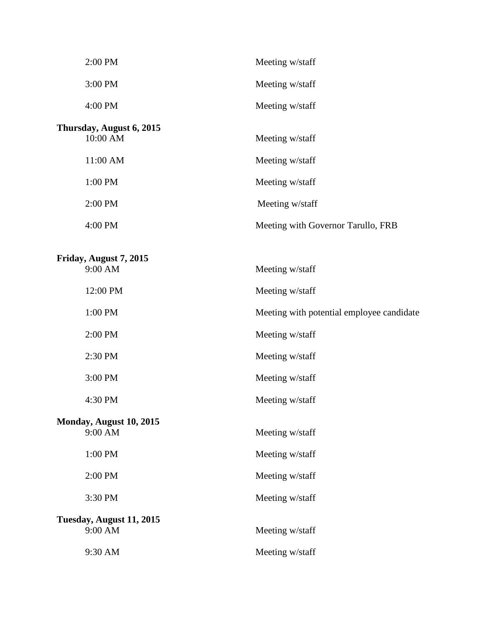| 2:00 PM                              | Meeting w/staff                           |
|--------------------------------------|-------------------------------------------|
| 3:00 PM                              | Meeting w/staff                           |
| 4:00 PM                              | Meeting w/staff                           |
| Thursday, August 6, 2015<br>10:00 AM | Meeting w/staff                           |
| 11:00 AM                             | Meeting w/staff                           |
| 1:00 PM                              | Meeting w/staff                           |
| 2:00 PM                              | Meeting w/staff                           |
| 4:00 PM                              | Meeting with Governor Tarullo, FRB        |
| Friday, August 7, 2015<br>9:00 AM    | Meeting w/staff                           |
| 12:00 PM                             | Meeting w/staff                           |
| 1:00 PM                              | Meeting with potential employee candidate |
| 2:00 PM                              | Meeting w/staff                           |
| 2:30 PM                              | Meeting w/staff                           |
| 3:00 PM                              | Meeting w/staff                           |
| 4:30 PM                              | Meeting w/staff                           |
| Monday, August 10, 2015<br>9:00 AM   | Meeting w/staff                           |
| 1:00 PM                              | Meeting w/staff                           |
| 2:00 PM                              | Meeting w/staff                           |
| 3:30 PM                              | Meeting w/staff                           |
| Tuesday, August 11, 2015<br>9:00 AM  | Meeting w/staff                           |
| 9:30 AM                              | Meeting w/staff                           |
|                                      |                                           |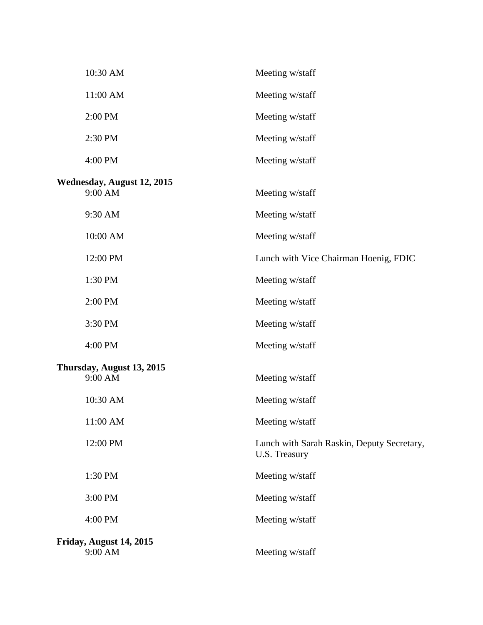| 10:30 AM                                     | Meeting w/staff                                             |
|----------------------------------------------|-------------------------------------------------------------|
| 11:00 AM                                     | Meeting w/staff                                             |
| 2:00 PM                                      | Meeting w/staff                                             |
| 2:30 PM                                      | Meeting w/staff                                             |
| 4:00 PM                                      | Meeting w/staff                                             |
| <b>Wednesday, August 12, 2015</b><br>9:00 AM | Meeting w/staff                                             |
| 9:30 AM                                      | Meeting w/staff                                             |
| 10:00 AM                                     | Meeting w/staff                                             |
| 12:00 PM                                     | Lunch with Vice Chairman Hoenig, FDIC                       |
| 1:30 PM                                      | Meeting w/staff                                             |
| 2:00 PM                                      | Meeting w/staff                                             |
| 3:30 PM                                      | Meeting w/staff                                             |
| 4:00 PM                                      | Meeting w/staff                                             |
| Thursday, August 13, 2015<br>9:00 AM         | Meeting w/staff                                             |
| 10:30 AM                                     | Meeting w/staff                                             |
| 11:00 AM                                     | Meeting w/staff                                             |
| 12:00 PM                                     | Lunch with Sarah Raskin, Deputy Secretary,<br>U.S. Treasury |
| 1:30 PM                                      | Meeting w/staff                                             |
| 3:00 PM                                      | Meeting w/staff                                             |
| 4:00 PM                                      | Meeting w/staff                                             |
| Friday, August 14, 2015<br>9:00 AM           | Meeting w/staff                                             |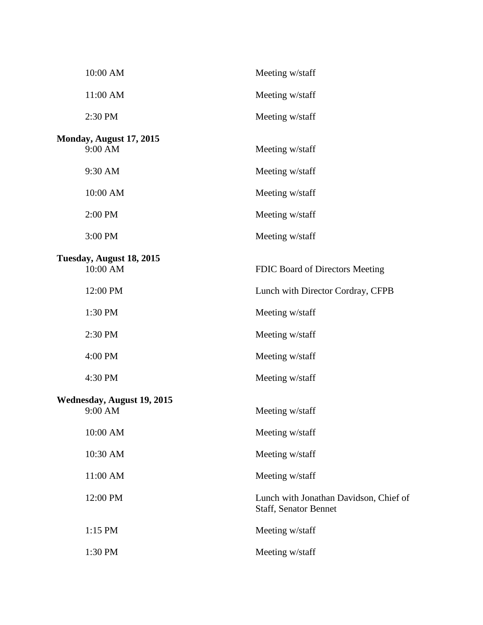| 10:00 AM                              | Meeting w/staff                                                        |
|---------------------------------------|------------------------------------------------------------------------|
| 11:00 AM                              | Meeting w/staff                                                        |
| 2:30 PM                               | Meeting w/staff                                                        |
| Monday, August 17, 2015<br>9:00 AM    | Meeting w/staff                                                        |
| 9:30 AM                               | Meeting w/staff                                                        |
| 10:00 AM                              | Meeting w/staff                                                        |
| 2:00 PM                               | Meeting w/staff                                                        |
| 3:00 PM                               | Meeting w/staff                                                        |
| Tuesday, August 18, 2015<br>10:00 AM  | FDIC Board of Directors Meeting                                        |
| 12:00 PM                              | Lunch with Director Cordray, CFPB                                      |
| 1:30 PM                               | Meeting w/staff                                                        |
| 2:30 PM                               | Meeting w/staff                                                        |
| 4:00 PM                               | Meeting w/staff                                                        |
| 4:30 PM                               | Meeting w/staff                                                        |
| Wednesday, August 19, 2015<br>9:00 AM | Meeting w/staff                                                        |
| 10:00 AM                              | Meeting w/staff                                                        |
| 10:30 AM                              | Meeting w/staff                                                        |
| 11:00 AM                              | Meeting w/staff                                                        |
| 12:00 PM                              | Lunch with Jonathan Davidson, Chief of<br><b>Staff, Senator Bennet</b> |
| 1:15 PM                               | Meeting w/staff                                                        |
| 1:30 PM                               | Meeting w/staff                                                        |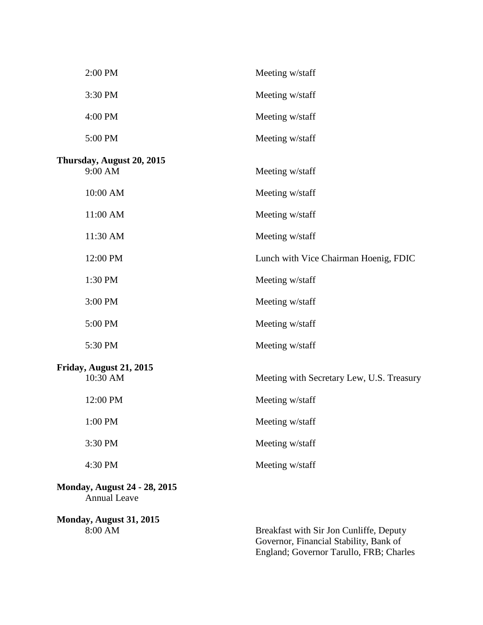| 2:00 PM                                                    | Meeting w/staff                                             |
|------------------------------------------------------------|-------------------------------------------------------------|
| 3:30 PM                                                    | Meeting w/staff                                             |
| 4:00 PM                                                    | Meeting w/staff                                             |
| 5:00 PM                                                    | Meeting w/staff                                             |
| Thursday, August 20, 2015<br>9:00 AM                       | Meeting w/staff                                             |
| 10:00 AM                                                   | Meeting w/staff                                             |
| 11:00 AM                                                   | Meeting w/staff                                             |
| 11:30 AM                                                   | Meeting w/staff                                             |
| 12:00 PM                                                   | Lunch with Vice Chairman Hoenig, FDIC                       |
| 1:30 PM                                                    | Meeting w/staff                                             |
| 3:00 PM                                                    | Meeting w/staff                                             |
| 5:00 PM                                                    | Meeting w/staff                                             |
| 5:30 PM                                                    | Meeting w/staff                                             |
| Friday, August 21, 2015<br>10:30 AM                        | Meeting with Secretary Lew, U.S. Treasury                   |
| 12:00 PM                                                   | Meeting w/staff                                             |
| 1:00 PM                                                    | Meeting w/staff                                             |
| 3:30 PM                                                    | Meeting w/staff                                             |
| 4:30 PM                                                    | Meeting w/staff                                             |
| <b>Monday, August 24 - 28, 2015</b><br><b>Annual Leave</b> |                                                             |
| Monday, August 31, 2015<br>8:00 AM                         | Breakfast with Sir Jon Cunliffe, Deputy<br>2.42110421324217 |

Governor, Financial Stability, Bank of England; Governor Tarullo, FRB; Charles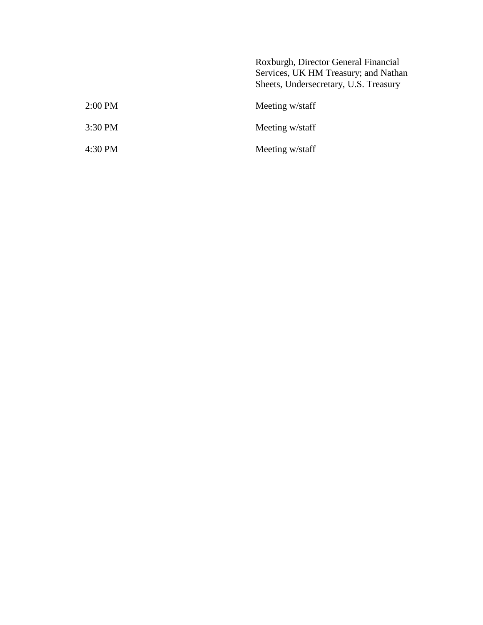Roxburgh, Director General Financial Services, UK HM Treasury; and Nathan Sheets, Undersecretary, U.S. Treasury 2:00 PM Meeting w/staff

| $2.00 \pm 101$ | <b>IVICCUILE W/STAIL</b> |
|----------------|--------------------------|
| 3:30 PM        | Meeting w/staff          |
| 4:30 PM        | Meeting w/staff          |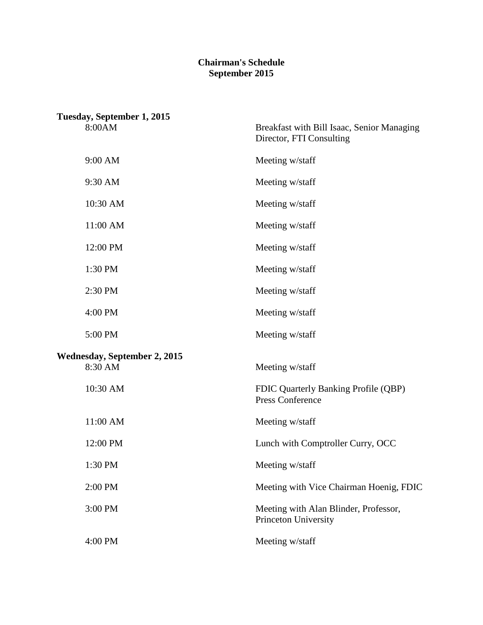## **Chairman's Schedule September 2015**

| Tuesday, September 1, 2015              |                                                                        |
|-----------------------------------------|------------------------------------------------------------------------|
| 8:00AM                                  | Breakfast with Bill Isaac, Senior Managing<br>Director, FTI Consulting |
| 9:00 AM                                 | Meeting w/staff                                                        |
| 9:30 AM                                 | Meeting w/staff                                                        |
| 10:30 AM                                | Meeting w/staff                                                        |
| 11:00 AM                                | Meeting w/staff                                                        |
| 12:00 PM                                | Meeting w/staff                                                        |
| 1:30 PM                                 | Meeting w/staff                                                        |
| 2:30 PM                                 | Meeting w/staff                                                        |
| 4:00 PM                                 | Meeting w/staff                                                        |
| 5:00 PM                                 | Meeting w/staff                                                        |
| Wednesday, September 2, 2015<br>8:30 AM | Meeting w/staff                                                        |
| 10:30 AM                                | FDIC Quarterly Banking Profile (QBP)<br><b>Press Conference</b>        |
| 11:00 AM                                | Meeting w/staff                                                        |
| 12:00 PM                                | Lunch with Comptroller Curry, OCC                                      |
| 1:30 PM                                 | Meeting w/staff                                                        |
| 2:00 PM                                 | Meeting with Vice Chairman Hoenig, FDIC                                |
| 3:00 PM                                 | Meeting with Alan Blinder, Professor,<br>Princeton University          |
| 4:00 PM                                 | Meeting w/staff                                                        |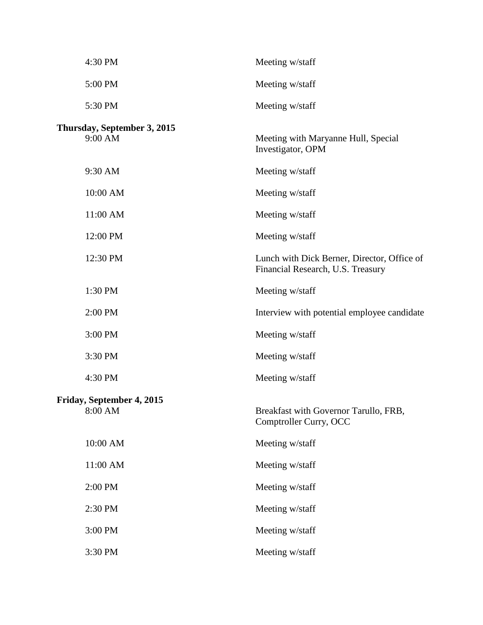| 4:30 PM                                | Meeting w/staff                                                                  |
|----------------------------------------|----------------------------------------------------------------------------------|
| 5:00 PM                                | Meeting w/staff                                                                  |
| 5:30 PM                                | Meeting w/staff                                                                  |
| Thursday, September 3, 2015<br>9:00 AM | Meeting with Maryanne Hull, Special<br>Investigator, OPM                         |
| 9:30 AM                                | Meeting w/staff                                                                  |
| 10:00 AM                               | Meeting w/staff                                                                  |
| 11:00 AM                               | Meeting w/staff                                                                  |
| 12:00 PM                               | Meeting w/staff                                                                  |
| 12:30 PM                               | Lunch with Dick Berner, Director, Office of<br>Financial Research, U.S. Treasury |
| 1:30 PM                                | Meeting w/staff                                                                  |
| 2:00 PM                                | Interview with potential employee candidate                                      |
| 3:00 PM                                | Meeting w/staff                                                                  |
| 3:30 PM                                | Meeting w/staff                                                                  |
| 4:30 PM                                | Meeting w/staff                                                                  |
| Friday, September 4, 2015<br>8:00 AM   | Breakfast with Governor Tarullo, FRB,<br>Comptroller Curry, OCC                  |
| 10:00 AM                               | Meeting w/staff                                                                  |
| 11:00 AM                               | Meeting w/staff                                                                  |
| 2:00 PM                                | Meeting w/staff                                                                  |
| 2:30 PM                                | Meeting w/staff                                                                  |
| 3:00 PM                                | Meeting w/staff                                                                  |
| 3:30 PM                                | Meeting w/staff                                                                  |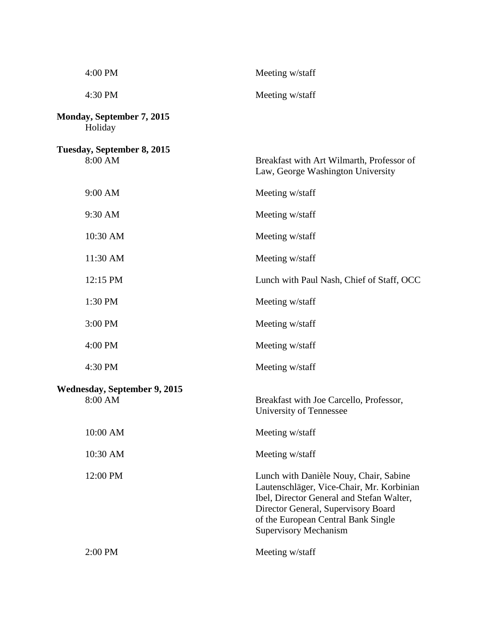| 4:00 PM                                        | Meeting w/staff                                                                                                                                                                                                                                |
|------------------------------------------------|------------------------------------------------------------------------------------------------------------------------------------------------------------------------------------------------------------------------------------------------|
| 4:30 PM                                        | Meeting w/staff                                                                                                                                                                                                                                |
| Monday, September 7, 2015<br>Holiday           |                                                                                                                                                                                                                                                |
| Tuesday, September 8, 2015<br>8:00 AM          | Breakfast with Art Wilmarth, Professor of<br>Law, George Washington University                                                                                                                                                                 |
| 9:00 AM                                        | Meeting w/staff                                                                                                                                                                                                                                |
| 9:30 AM                                        | Meeting w/staff                                                                                                                                                                                                                                |
| 10:30 AM                                       | Meeting w/staff                                                                                                                                                                                                                                |
| 11:30 AM                                       | Meeting w/staff                                                                                                                                                                                                                                |
| 12:15 PM                                       | Lunch with Paul Nash, Chief of Staff, OCC                                                                                                                                                                                                      |
| 1:30 PM                                        | Meeting w/staff                                                                                                                                                                                                                                |
| 3:00 PM                                        | Meeting w/staff                                                                                                                                                                                                                                |
| 4:00 PM                                        | Meeting w/staff                                                                                                                                                                                                                                |
| 4:30 PM                                        | Meeting w/staff                                                                                                                                                                                                                                |
| <b>Wednesday, September 9, 2015</b><br>8:00 AM | Breakfast with Joe Carcello, Professor,<br>University of Tennessee                                                                                                                                                                             |
| 10:00 AM                                       | Meeting w/staff                                                                                                                                                                                                                                |
| 10:30 AM                                       | Meeting w/staff                                                                                                                                                                                                                                |
| 12:00 PM                                       | Lunch with Danièle Nouy, Chair, Sabine<br>Lautenschläger, Vice-Chair, Mr. Korbinian<br>Ibel, Director General and Stefan Walter,<br>Director General, Supervisory Board<br>of the European Central Bank Single<br><b>Supervisory Mechanism</b> |
| 2:00 PM                                        | Meeting w/staff                                                                                                                                                                                                                                |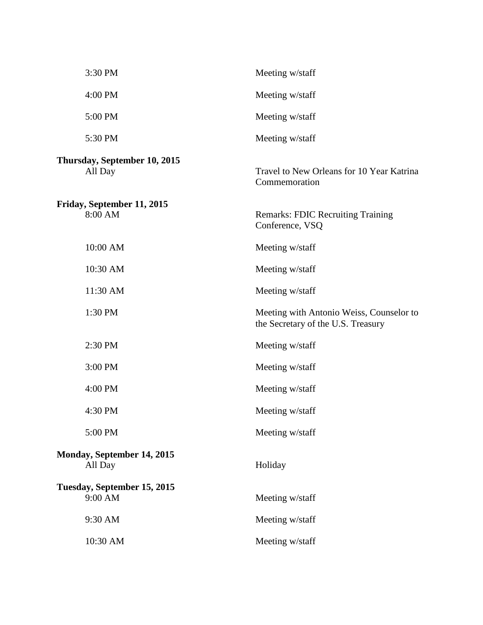| 3:30 PM                                 | Meeting w/staff                                                                |
|-----------------------------------------|--------------------------------------------------------------------------------|
| 4:00 PM                                 | Meeting w/staff                                                                |
| 5:00 PM                                 | Meeting w/staff                                                                |
| 5:30 PM                                 | Meeting w/staff                                                                |
| Thursday, September 10, 2015<br>All Day | Travel to New Orleans for 10 Year Katrina<br>Commemoration                     |
| Friday, September 11, 2015<br>8:00 AM   | <b>Remarks: FDIC Recruiting Training</b><br>Conference, VSQ                    |
| 10:00 AM                                | Meeting w/staff                                                                |
| 10:30 AM                                | Meeting w/staff                                                                |
| 11:30 AM                                | Meeting w/staff                                                                |
| 1:30 PM                                 | Meeting with Antonio Weiss, Counselor to<br>the Secretary of the U.S. Treasury |
| 2:30 PM                                 | Meeting w/staff                                                                |
| 3:00 PM                                 | Meeting w/staff                                                                |
| 4:00 PM                                 | Meeting w/staff                                                                |
| 4:30 PM                                 | Meeting w/staff                                                                |
| 5:00 PM                                 | Meeting w/staff                                                                |
| Monday, September 14, 2015<br>All Day   | Holiday                                                                        |
| Tuesday, September 15, 2015<br>9:00 AM  | Meeting w/staff                                                                |
| 9:30 AM                                 | Meeting w/staff                                                                |
| 10:30 AM                                | Meeting w/staff                                                                |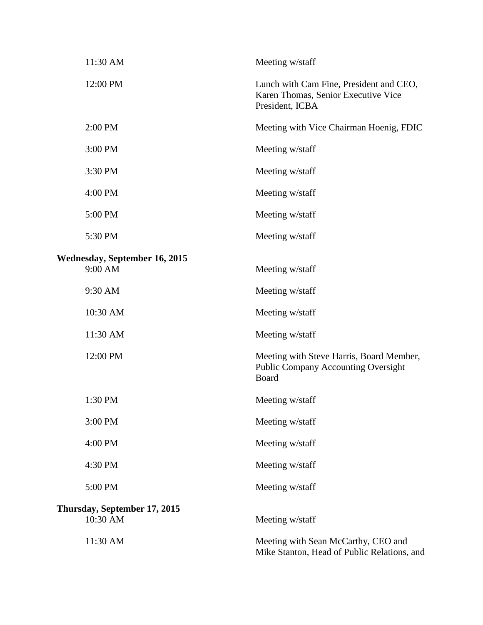| 11:30 AM                                 | Meeting w/staff                                                                                   |
|------------------------------------------|---------------------------------------------------------------------------------------------------|
| 12:00 PM                                 | Lunch with Cam Fine, President and CEO,<br>Karen Thomas, Senior Executive Vice<br>President, ICBA |
| 2:00 PM                                  | Meeting with Vice Chairman Hoenig, FDIC                                                           |
| 3:00 PM                                  | Meeting w/staff                                                                                   |
| 3:30 PM                                  | Meeting w/staff                                                                                   |
| 4:00 PM                                  | Meeting w/staff                                                                                   |
| 5:00 PM                                  | Meeting w/staff                                                                                   |
| 5:30 PM                                  | Meeting w/staff                                                                                   |
| Wednesday, September 16, 2015<br>9:00 AM | Meeting w/staff                                                                                   |
| 9:30 AM                                  | Meeting w/staff                                                                                   |
| 10:30 AM                                 | Meeting w/staff                                                                                   |
| 11:30 AM                                 | Meeting w/staff                                                                                   |
| 12:00 PM                                 | Meeting with Steve Harris, Board Member,<br><b>Public Company Accounting Oversight</b><br>Board   |
| 1:30 PM                                  | Meeting w/staff                                                                                   |
| 3:00 PM                                  | Meeting w/staff                                                                                   |
| 4:00 PM                                  | Meeting w/staff                                                                                   |
| 4:30 PM                                  | Meeting w/staff                                                                                   |
| 5:00 PM                                  | Meeting w/staff                                                                                   |
| Thursday, September 17, 2015<br>10:30 AM | Meeting w/staff                                                                                   |
| 11:30 AM                                 | Meeting with Sean McCarthy, CEO and<br>Mike Stanton, Head of Public Relations, and                |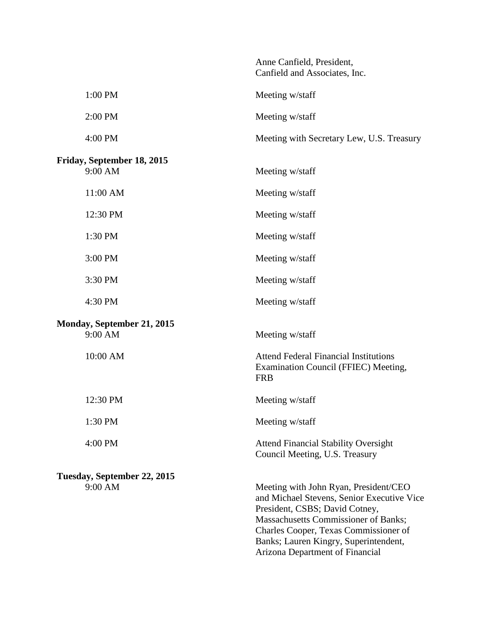|                                        | Anne Canfield, President,<br>Canfield and Associates, Inc.                                                                                                                                                                                      |
|----------------------------------------|-------------------------------------------------------------------------------------------------------------------------------------------------------------------------------------------------------------------------------------------------|
| 1:00 PM                                | Meeting w/staff                                                                                                                                                                                                                                 |
| 2:00 PM                                | Meeting w/staff                                                                                                                                                                                                                                 |
| 4:00 PM                                | Meeting with Secretary Lew, U.S. Treasury                                                                                                                                                                                                       |
| Friday, September 18, 2015<br>9:00 AM  | Meeting w/staff                                                                                                                                                                                                                                 |
| 11:00 AM                               | Meeting w/staff                                                                                                                                                                                                                                 |
| 12:30 PM                               | Meeting w/staff                                                                                                                                                                                                                                 |
| 1:30 PM                                | Meeting w/staff                                                                                                                                                                                                                                 |
| 3:00 PM                                | Meeting w/staff                                                                                                                                                                                                                                 |
| 3:30 PM                                | Meeting w/staff                                                                                                                                                                                                                                 |
| 4:30 PM                                | Meeting w/staff                                                                                                                                                                                                                                 |
| Monday, September 21, 2015<br>9:00 AM  | Meeting w/staff                                                                                                                                                                                                                                 |
| 10:00 AM                               | <b>Attend Federal Financial Institutions</b><br>Examination Council (FFIEC) Meeting,<br><b>FRB</b>                                                                                                                                              |
| 12:30 PM                               | Meeting w/staff                                                                                                                                                                                                                                 |
| 1:30 PM                                | Meeting w/staff                                                                                                                                                                                                                                 |
| 4:00 PM                                | <b>Attend Financial Stability Oversight</b><br>Council Meeting, U.S. Treasury                                                                                                                                                                   |
| Tuesday, September 22, 2015<br>9:00 AM | Meeting with John Ryan, President/CEO<br>and Michael Stevens, Senior Executive Vice<br>President, CSBS; David Cotney,<br>Massachusetts Commissioner of Banks;<br>Charles Cooper, Texas Commissioner of<br>Banks; Lauren Kingry, Superintendent, |

Arizona Department of Financial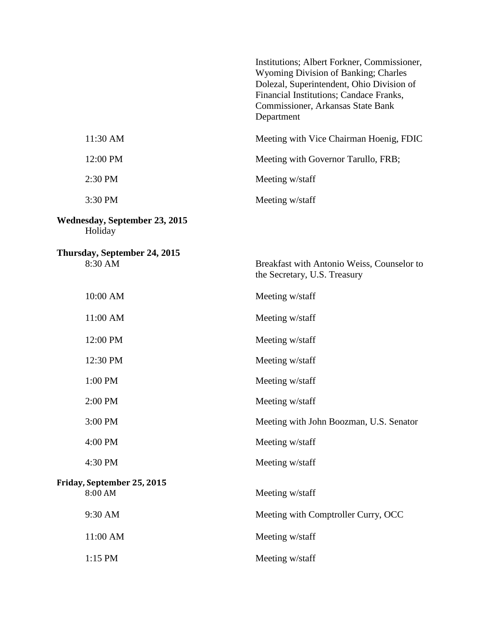|                                                 | Institutions; Albert Forkner, Commissioner,<br><b>Wyoming Division of Banking; Charles</b><br>Dolezal, Superintendent, Ohio Division of<br>Financial Institutions; Candace Franks,<br>Commissioner, Arkansas State Bank<br>Department |
|-------------------------------------------------|---------------------------------------------------------------------------------------------------------------------------------------------------------------------------------------------------------------------------------------|
| 11:30 AM                                        | Meeting with Vice Chairman Hoenig, FDIC                                                                                                                                                                                               |
| 12:00 PM                                        | Meeting with Governor Tarullo, FRB;                                                                                                                                                                                                   |
| 2:30 PM                                         | Meeting w/staff                                                                                                                                                                                                                       |
| 3:30 PM                                         | Meeting w/staff                                                                                                                                                                                                                       |
| <b>Wednesday, September 23, 2015</b><br>Holiday |                                                                                                                                                                                                                                       |
| Thursday, September 24, 2015<br>8:30 AM         | Breakfast with Antonio Weiss, Counselor to<br>the Secretary, U.S. Treasury                                                                                                                                                            |
| 10:00 AM                                        | Meeting w/staff                                                                                                                                                                                                                       |
| 11:00 AM                                        | Meeting w/staff                                                                                                                                                                                                                       |
| 12:00 PM                                        | Meeting w/staff                                                                                                                                                                                                                       |
| 12:30 PM                                        | Meeting w/staff                                                                                                                                                                                                                       |
| 1:00 PM                                         | Meeting w/staff                                                                                                                                                                                                                       |
| 2:00 PM                                         | Meeting w/staff                                                                                                                                                                                                                       |
| 3:00 PM                                         | Meeting with John Boozman, U.S. Senator                                                                                                                                                                                               |
| 4:00 PM                                         | Meeting w/staff                                                                                                                                                                                                                       |
| 4:30 PM                                         | Meeting w/staff                                                                                                                                                                                                                       |
| Friday, September 25, 2015<br>8:00 AM           | Meeting w/staff                                                                                                                                                                                                                       |
| 9:30 AM                                         | Meeting with Comptroller Curry, OCC                                                                                                                                                                                                   |
| 11:00 AM                                        | Meeting w/staff                                                                                                                                                                                                                       |
| 1:15 PM                                         | Meeting w/staff                                                                                                                                                                                                                       |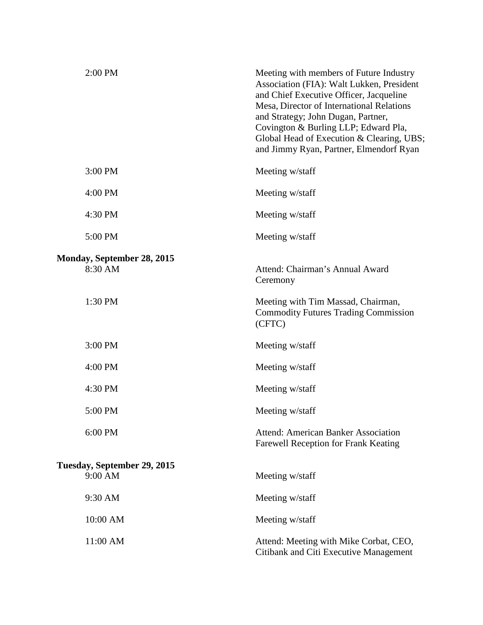| 2:00 PM                                | Meeting with members of Future Industry<br>Association (FIA): Walt Lukken, President<br>and Chief Executive Officer, Jacqueline<br>Mesa, Director of International Relations<br>and Strategy; John Dugan, Partner,<br>Covington & Burling LLP; Edward Pla,<br>Global Head of Execution & Clearing, UBS;<br>and Jimmy Ryan, Partner, Elmendorf Ryan |
|----------------------------------------|----------------------------------------------------------------------------------------------------------------------------------------------------------------------------------------------------------------------------------------------------------------------------------------------------------------------------------------------------|
| 3:00 PM                                | Meeting w/staff                                                                                                                                                                                                                                                                                                                                    |
| 4:00 PM                                | Meeting w/staff                                                                                                                                                                                                                                                                                                                                    |
| 4:30 PM                                | Meeting w/staff                                                                                                                                                                                                                                                                                                                                    |
| 5:00 PM                                | Meeting w/staff                                                                                                                                                                                                                                                                                                                                    |
| Monday, September 28, 2015<br>8:30 AM  | Attend: Chairman's Annual Award<br>Ceremony                                                                                                                                                                                                                                                                                                        |
| 1:30 PM                                | Meeting with Tim Massad, Chairman,<br><b>Commodity Futures Trading Commission</b><br>(CFTC)                                                                                                                                                                                                                                                        |
| 3:00 PM                                | Meeting w/staff                                                                                                                                                                                                                                                                                                                                    |
| 4:00 PM                                | Meeting w/staff                                                                                                                                                                                                                                                                                                                                    |
| 4:30 PM                                | Meeting w/staff                                                                                                                                                                                                                                                                                                                                    |
| 5:00 PM                                | Meeting w/staff                                                                                                                                                                                                                                                                                                                                    |
| 6:00 PM                                | <b>Attend: American Banker Association</b><br>Farewell Reception for Frank Keating                                                                                                                                                                                                                                                                 |
| Tuesday, September 29, 2015<br>9:00 AM | Meeting w/staff                                                                                                                                                                                                                                                                                                                                    |
| 9:30 AM                                | Meeting w/staff                                                                                                                                                                                                                                                                                                                                    |
| 10:00 AM                               | Meeting w/staff                                                                                                                                                                                                                                                                                                                                    |
| 11:00 AM                               | Attend: Meeting with Mike Corbat, CEO,<br>Citibank and Citi Executive Management                                                                                                                                                                                                                                                                   |